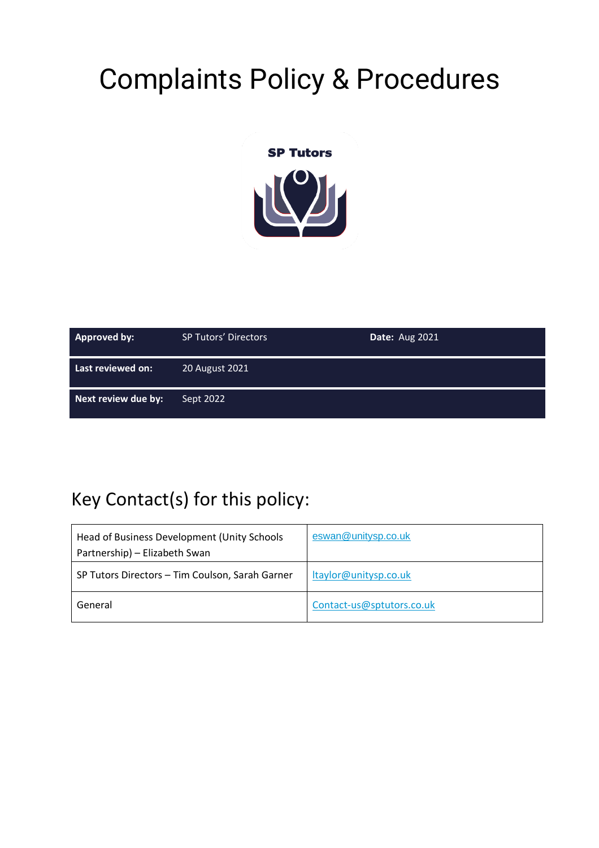# Complaints Policy & Procedures



| Approved by:        | <b>SP Tutors' Directors</b> | <b>Date: Aug 2021</b> |
|---------------------|-----------------------------|-----------------------|
| Last reviewed on:   | 20 August 2021              |                       |
| Next review due by: | Sept 2022                   |                       |

#### Key Contact(s) for this policy:

| Head of Business Development (Unity Schools<br>Partnership) - Elizabeth Swan | eswan@unitysp.co.uk       |
|------------------------------------------------------------------------------|---------------------------|
| SP Tutors Directors - Tim Coulson, Sarah Garner                              | Itaylor@unitysp.co.uk     |
| General                                                                      | Contact-us@sptutors.co.uk |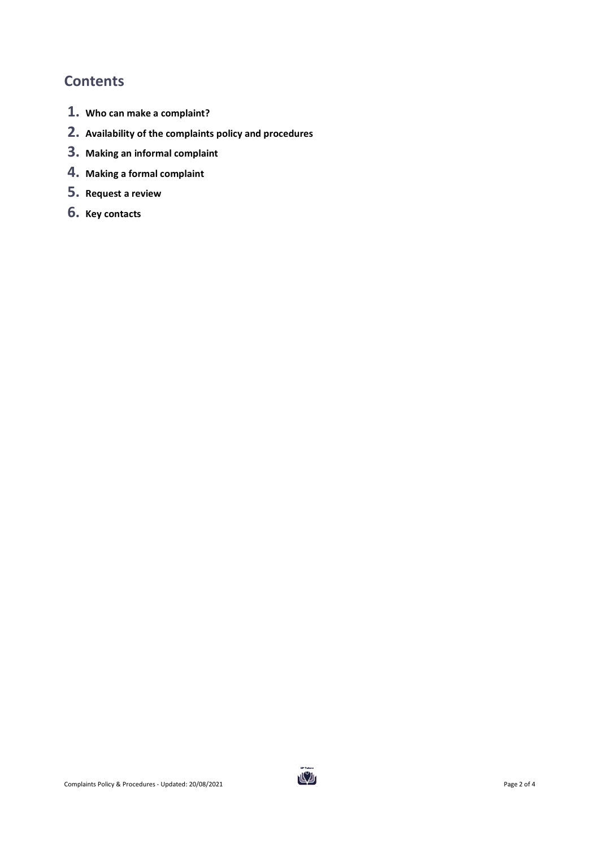#### **Contents**

- **1. Who can make a complaint?**
- **2. Availability of the complaints policy and procedures**
- **3. Making an informal complaint**
- **4. Making a formal complaint**
- **5. Request a review**
- **6. Key contacts**

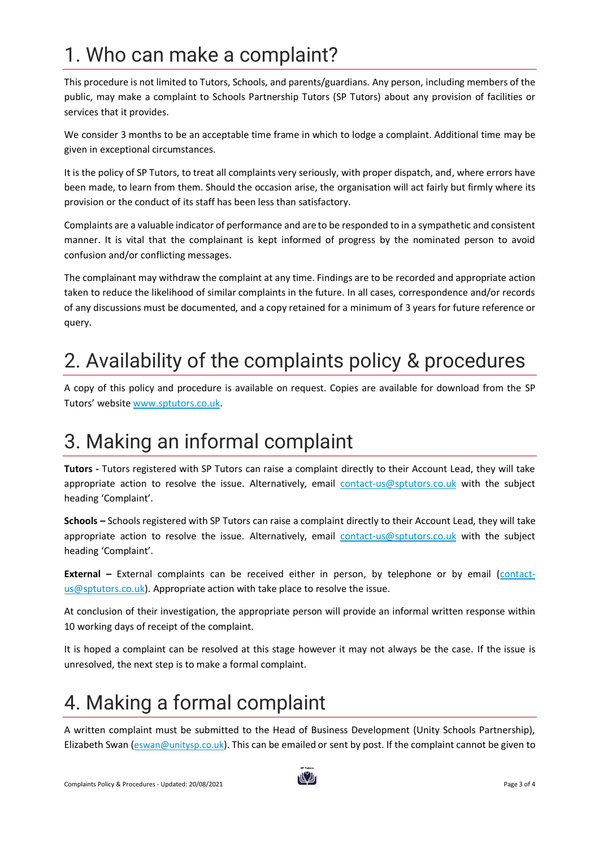# 1. Who can make a complaint?

This procedure is not limited to Tutors, Schools, and parents/guardians. Any person, including members of the public, may make a complaint to Schools Partnership Tutors (SP Tutors) about any provision of facilities or services that it provides.

We consider 3 months to be an acceptable time frame in which to lodge a complaint. Additional time may be given in exceptional circumstances.

It is the policy of SP Tutors, to treat all complaints very seriously, with proper dispatch, and, where errors have been made, to learn from them. Should the occasion arise, the organisation will act fairly but firmly where its provision or the conduct of its staff has been less than satisfactory.

Complaints are a valuable indicator of performance and are to be responded to in a sympathetic and consistent manner. It is vital that the complainant is kept informed of progress by the nominated person to avoid confusion and/or conflicting messages.

The complainant may withdraw the complaint at any time. Findings are to be recorded and appropriate action taken to reduce the likelihood of similar complaints in the future. In all cases, correspondence and/or records of any discussions must be documented, and a copy retained for a minimum of 3 years for future reference or query.

### 2. Availability of the complaints policy & procedures

A copy of this policy and procedure is available on request. Copies are available for download from the SP Tutors' website [www.sptutors.co.uk.](http://www.sptutors.co.uk/)

#### 3. Making an informal complaint

**Tutors -** Tutors registered with SP Tutors can raise a complaint directly to their Account Lead, they will take appropriate action to resolve the issue. Alternatively, email [contact-us@sptutors.co.uk](mailto:contact-us@sptutors.co.uk) with the subject heading 'Complaint'.

**Schools –** Schools registered with SP Tutors can raise a complaint directly to their Account Lead, they will take appropriate action to resolve the issue. Alternatively, email [contact-us@sptutors.co.uk](mailto:contact-us@sptutors.co.uk) with the subject heading 'Complaint'.

**External –** External complaints can be received either in person, by telephone or by email [\(contact](mailto:contact-us@sptutors.co.uk)[us@sptutors.co.uk\)](mailto:contact-us@sptutors.co.uk). Appropriate action with take place to resolve the issue.

At conclusion of their investigation, the appropriate person will provide an informal written response within 10 working days of receipt of the complaint.

It is hoped a complaint can be resolved at this stage however it may not always be the case. If the issue is unresolved, the next step is to make a formal complaint.

# 4. Making a formal complaint

A written complaint must be submitted to the Head of Business Development (Unity Schools Partnership), Elizabeth Swan ([eswan@unitysp.co.uk](mailto:eswan@unitysp.co.uk)). This can be emailed or sent by post. If the complaint cannot be given to